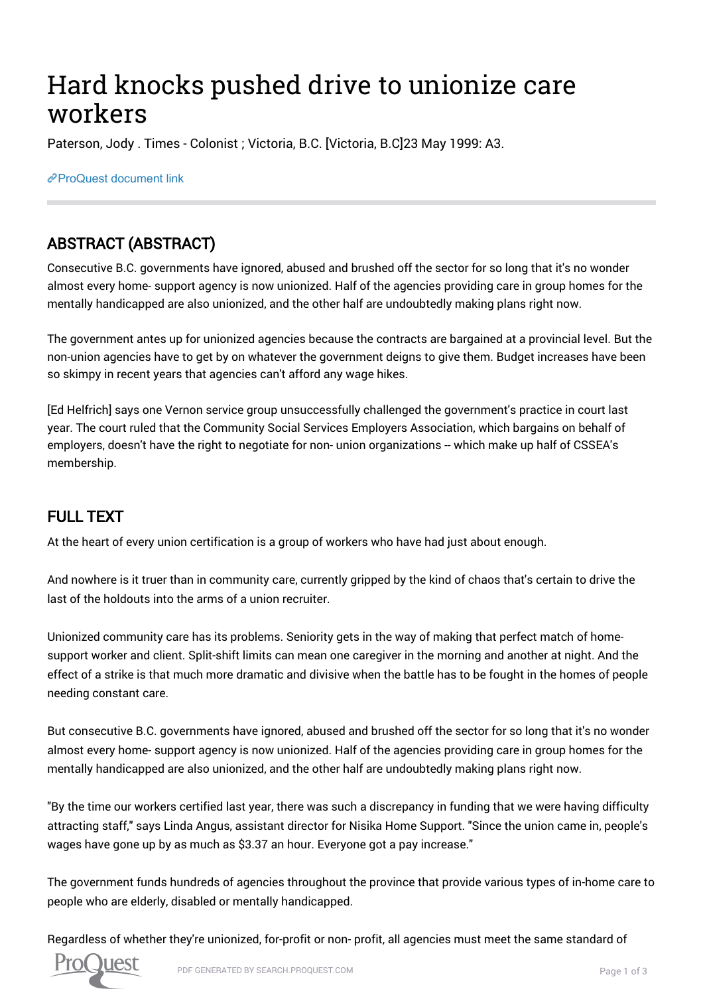# Hard knocks pushed drive to unionize care workers

Paterson, Jody . Times - Colonist ; Victoria, B.C. [Victoria, B.C]23 May 1999: A3.

[ProQuest document link](http://search.proquest.com.ezproxy.library.uvic.ca/docview/345712986?accountid=14846)

## ABSTRACT (ABSTRACT)

Consecutive B.C. governments have ignored, abused and brushed off the sector for so long that it's no wonder almost every home- support agency is now unionized. Half of the agencies providing care in group homes for the mentally handicapped are also unionized, and the other half are undoubtedly making plans right now.

The government antes up for unionized agencies because the contracts are bargained at a provincial level. But the non-union agencies have to get by on whatever the government deigns to give them. Budget increases have been so skimpy in recent years that agencies can't afford any wage hikes.

[Ed Helfrich] says one Vernon service group unsuccessfully challenged the government's practice in court last year. The court ruled that the Community Social Services Employers Association, which bargains on behalf of employers, doesn't have the right to negotiate for non- union organizations -- which make up half of CSSEA's membership.

### FULL TEXT

At the heart of every union certification is a group of workers who have had just about enough.

And nowhere is it truer than in community care, currently gripped by the kind of chaos that's certain to drive the last of the holdouts into the arms of a union recruiter.

Unionized community care has its problems. Seniority gets in the way of making that perfect match of homesupport worker and client. Split-shift limits can mean one caregiver in the morning and another at night. And the effect of a strike is that much more dramatic and divisive when the battle has to be fought in the homes of people needing constant care.

But consecutive B.C. governments have ignored, abused and brushed off the sector for so long that it's no wonder almost every home- support agency is now unionized. Half of the agencies providing care in group homes for the mentally handicapped are also unionized, and the other half are undoubtedly making plans right now.

"By the time our workers certified last year, there was such a discrepancy in funding that we were having difficulty attracting staff," says Linda Angus, assistant director for Nisika Home Support. "Since the union came in, people's wages have gone up by as much as \$3.37 an hour. Everyone got a pay increase."

The government funds hundreds of agencies throughout the province that provide various types of in-home care to people who are elderly, disabled or mentally handicapped.

Regardless of whether they're unionized, for-profit or non- profit, all agencies must meet the same standard of

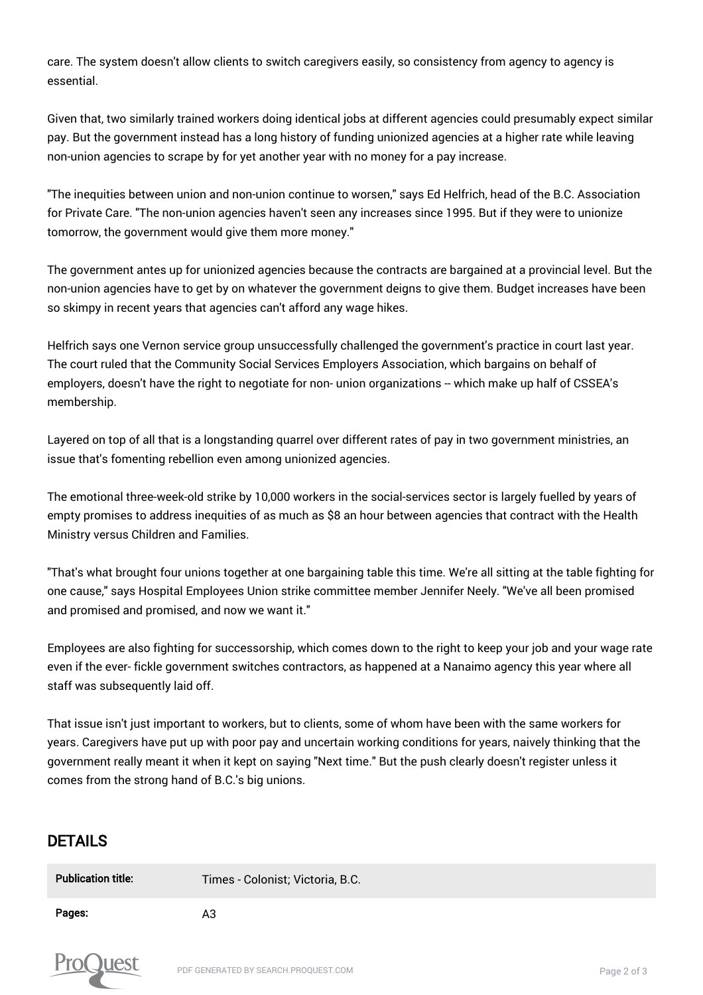care. The system doesn't allow clients to switch caregivers easily, so consistency from agency to agency is essential.

Given that, two similarly trained workers doing identical jobs at different agencies could presumably expect similar pay. But the government instead has a long history of funding unionized agencies at a higher rate while leaving non-union agencies to scrape by for yet another year with no money for a pay increase.

"The inequities between union and non-union continue to worsen," says Ed Helfrich, head of the B.C. Association for Private Care. "The non-union agencies haven't seen any increases since 1995. But if they were to unionize tomorrow, the government would give them more money."

The government antes up for unionized agencies because the contracts are bargained at a provincial level. But the non-union agencies have to get by on whatever the government deigns to give them. Budget increases have been so skimpy in recent years that agencies can't afford any wage hikes.

Helfrich says one Vernon service group unsuccessfully challenged the government's practice in court last year. The court ruled that the Community Social Services Employers Association, which bargains on behalf of employers, doesn't have the right to negotiate for non- union organizations -- which make up half of CSSEA's membership.

Layered on top of all that is a longstanding quarrel over different rates of pay in two government ministries, an issue that's fomenting rebellion even among unionized agencies.

The emotional three-week-old strike by 10,000 workers in the social-services sector is largely fuelled by years of empty promises to address inequities of as much as \$8 an hour between agencies that contract with the Health Ministry versus Children and Families.

"That's what brought four unions together at one bargaining table this time. We're all sitting at the table fighting for one cause," says Hospital Employees Union strike committee member Jennifer Neely. "We've all been promised and promised and promised, and now we want it."

Employees are also fighting for successorship, which comes down to the right to keep your job and your wage rate even if the ever- fickle government switches contractors, as happened at a Nanaimo agency this year where all staff was subsequently laid off.

That issue isn't just important to workers, but to clients, some of whom have been with the same workers for years. Caregivers have put up with poor pay and uncertain working conditions for years, naively thinking that the government really meant it when it kept on saying "Next time." But the push clearly doesn't register unless it comes from the strong hand of B.C.'s big unions.

#### DETAILS

| <b>Publication title:</b> | Times - Colonist; Victoria, B.C. |
|---------------------------|----------------------------------|
| Pages:                    | A3                               |